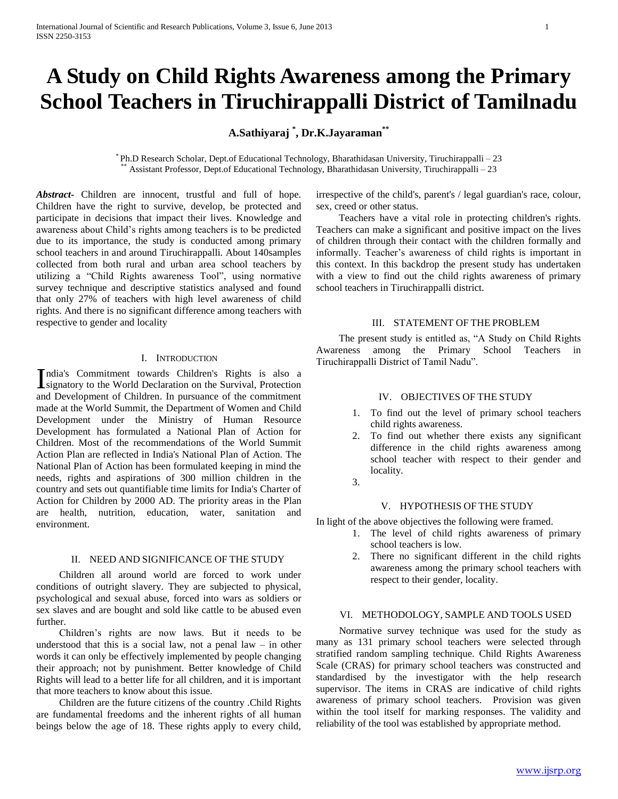# **A Study on Child Rights Awareness among the Primary School Teachers in Tiruchirappalli District of Tamilnadu**

## **A.Sathiyaraj \* , Dr.K.Jayaraman\*\***

\* Ph.D Research Scholar, Dept.of Educational Technology, Bharathidasan University, Tiruchirappalli – 23 \*\* Assistant Professor, Dept.of Educational Technology, Bharathidasan University, Tiruchirappalli – 23

*Abstract***-** Children are innocent, trustful and full of hope. Children have the right to survive, develop, be protected and participate in decisions that impact their lives. Knowledge and awareness about Child's rights among teachers is to be predicted due to its importance, the study is conducted among primary school teachers in and around Tiruchirappalli. About 140samples collected from both rural and urban area school teachers by utilizing a "Child Rights awareness Tool", using normative survey technique and descriptive statistics analysed and found that only 27% of teachers with high level awareness of child rights. And there is no significant difference among teachers with respective to gender and locality

#### I. INTRODUCTION

ndia's Commitment towards Children's Rights is also a India's Commitment towards Children's Rights is also a signatory to the World Declaration on the Survival, Protection and Development of Children. In pursuance of the commitment made at the World Summit, the Department of Women and Child Development under the Ministry of Human Resource Development has formulated a National Plan of Action for Children. Most of the recommendations of the World Summit Action Plan are reflected in India's National Plan of Action. The National Plan of Action has been formulated keeping in mind the needs, rights and aspirations of 300 million children in the country and sets out quantifiable time limits for India's Charter of Action for Children by 2000 AD. The priority areas in the Plan are health, nutrition, education, water, sanitation and environment.

### II. NEED AND SIGNIFICANCE OF THE STUDY

 Children all around world are forced to work under conditions of outright slavery. They are subjected to physical, psychological and sexual abuse, forced into wars as soldiers or sex slaves and are bought and sold like cattle to be abused even further.

 Children's rights are now laws. But it needs to be understood that this is a social law, not a penal law  $-$  in other words it can only be effectively implemented by people changing their approach; not by punishment. Better knowledge of Child Rights will lead to a better life for all children, and it is important that more teachers to know about this issue.

 Children are the future citizens of the country .Child Rights are fundamental freedoms and the inherent rights of all human beings below the age of 18. These rights apply to every child,

irrespective of the child's, parent's / legal guardian's race, colour, sex, creed or other status.

 Teachers have a vital role in protecting children's rights. Teachers can make a significant and positive impact on the lives of children through their contact with the children formally and informally. Teacher's awareness of child rights is important in this context. In this backdrop the present study has undertaken with a view to find out the child rights awareness of primary school teachers in Tiruchirappalli district.

### III. STATEMENT OF THE PROBLEM

 The present study is entitled as, "A Study on Child Rights Awareness among the Primary School Teachers in Tiruchirappalli District of Tamil Nadu".

#### IV. OBJECTIVES OF THE STUDY

- 1. To find out the level of primary school teachers child rights awareness.
- 2. To find out whether there exists any significant difference in the child rights awareness among school teacher with respect to their gender and locality.
- 3.

## V. HYPOTHESIS OF THE STUDY

In light of the above objectives the following were framed.

- 1. The level of child rights awareness of primary school teachers is low.
- 2. There no significant different in the child rights awareness among the primary school teachers with respect to their gender, locality.

## VI. METHODOLOGY, SAMPLE AND TOOLS USED

 Normative survey technique was used for the study as many as 131 primary school teachers were selected through stratified random sampling technique. Child Rights Awareness Scale (CRAS) for primary school teachers was constructed and standardised by the investigator with the help research supervisor. The items in CRAS are indicative of child rights awareness of primary school teachers. Provision was given within the tool itself for marking responses. The validity and reliability of the tool was established by appropriate method.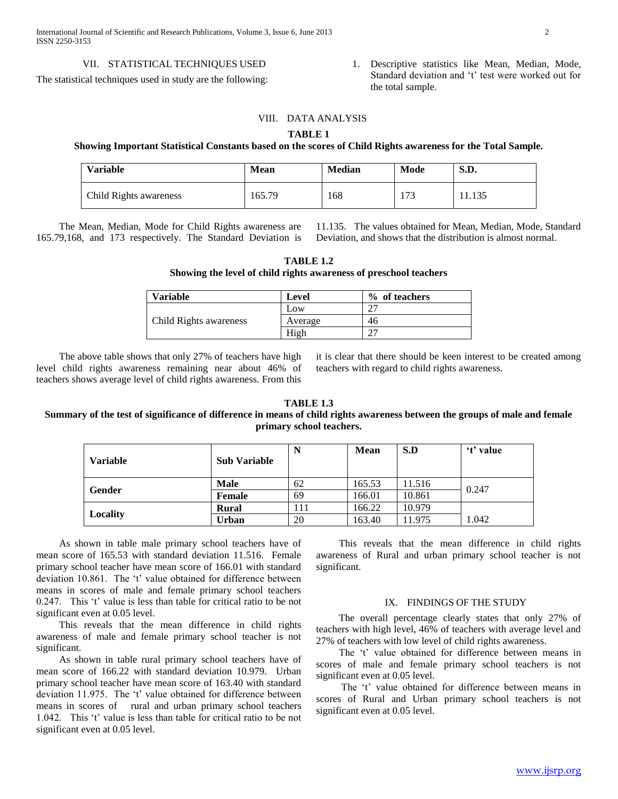The statistical techniques used in study are the following:

1. Descriptive statistics like Mean, Median, Mode, Standard deviation and 't' test were worked out for the total sample.

## VIII. DATA ANALYSIS

## **TABLE 1**

### **Showing Important Statistical Constants based on the scores of Child Rights awareness for the Total Sample.**

| <b>Variable</b>        | <b>Mean</b> | <b>Median</b> | Mode            | S.D.   |
|------------------------|-------------|---------------|-----------------|--------|
| Child Rights awareness | 165.79      | 168           | $\sim$<br>l / J | 11.135 |

 The Mean, Median, Mode for Child Rights awareness are 165.79,168, and 173 respectively. The Standard Deviation is 11.135. The values obtained for Mean, Median, Mode, Standard Deviation, and shows that the distribution is almost normal.

| TABLE 1.2                                                         |
|-------------------------------------------------------------------|
| Showing the level of child rights awareness of preschool teachers |

| <b>Variable</b>        | <b>Level</b> | % of teachers |
|------------------------|--------------|---------------|
|                        | Low          | ົ             |
| Child Rights awareness | Average      | 46            |
|                        | High         |               |

 The above table shows that only 27% of teachers have high level child rights awareness remaining near about 46% of teachers shows average level of child rights awareness. From this

it is clear that there should be keen interest to be created among teachers with regard to child rights awareness.

#### **TABLE 1.3**

## **Summary of the test of significance of difference in means of child rights awareness between the groups of male and female primary school teachers.**

| <b>Variable</b> | <b>Sub Variable</b> |     | <b>Mean</b> | S.D    | 't' value |
|-----------------|---------------------|-----|-------------|--------|-----------|
| Gender          | <b>Male</b>         | 62  | 165.53      | 11.516 | 0.247     |
|                 | Female              | 69  | 166.01      | 10.861 |           |
| <b>Locality</b> | <b>Rural</b>        | 111 | 166.22      | 10.979 |           |
|                 | Urban               | 20  | 163.40      | 11.975 | 1.042     |

 As shown in table male primary school teachers have of mean score of 165.53 with standard deviation 11.516. Female primary school teacher have mean score of 166.01 with standard deviation 10.861. The 't' value obtained for difference between means in scores of male and female primary school teachers 0.247. This 't' value is less than table for critical ratio to be not significant even at 0.05 level.

 This reveals that the mean difference in child rights awareness of male and female primary school teacher is not significant.

 As shown in table rural primary school teachers have of mean score of 166.22 with standard deviation 10.979. Urban primary school teacher have mean score of 163.40 with standard deviation 11.975. The 't' value obtained for difference between means in scores of rural and urban primary school teachers 1.042. This 't' value is less than table for critical ratio to be not significant even at 0.05 level.

 This reveals that the mean difference in child rights awareness of Rural and urban primary school teacher is not significant.

#### IX. FINDINGS OF THE STUDY

 The overall percentage clearly states that only 27% of teachers with high level, 46% of teachers with average level and 27% of teachers with low level of child rights awareness.

 The 't' value obtained for difference between means in scores of male and female primary school teachers is not significant even at 0.05 level.

 The 't' value obtained for difference between means in scores of Rural and Urban primary school teachers is not significant even at 0.05 level.